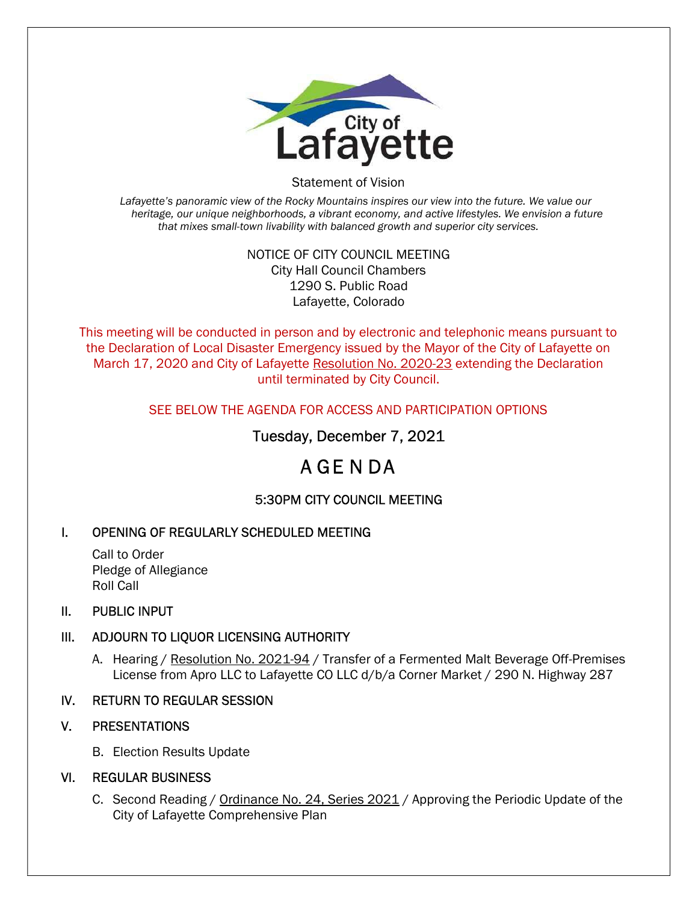

Statement of Vision

Lafayette's panoramic view of the Rocky Mountains inspires our view into the future. We value our heritage, our unique neighborhoods, a vibrant economy, and active lifestyles. We envision a future that mixes small-town livability with balanced growth and superior city services.

#### NOTICE OF CITY COUNCIL MEETING City Hall Council Chambers 1290 S. Public Road Lafayette, Colorado

This meeting will be conducted in person and by electronic and telephonic means pursuant to the Declaration of Local Disaster Emergency issued by the Mayor of the City of Lafayette on March 17, 2020 and City of Lafayette Resolution No. 2020-23 extending the Declaration until terminated by City Council.

#### SEE BELOW THE AGENDA FOR ACCESS AND PARTICIPATION OPTIONS

## Tuesday, December 7, 2021

# A GE N DA

## 5:30PM CITY COUNCIL MEETING

## I. OPENING OF REGULARLY SCHEDULED MEETING

Call to Order Pledge of Allegiance Roll Call

#### II. PUBLIC INPUT

## III. ADJOURN TO LIQUOR LICENSING AUTHORITY

A. Hearing / Resolution No. 2021-94 / Transfer of a Fermented Malt Beverage Off-Premises License from Apro LLC to Lafayette CO LLC d/b/a Corner Market / 290 N. Highway 287

## IV. RETURN TO REGULAR SESSION

## V. PRESENTATIONS

B. Election Results Update

#### VI. REGULAR BUSINESS

C. Second Reading / Ordinance No. 24, Series 2021 / Approving the Periodic Update of the City of Lafayette Comprehensive Plan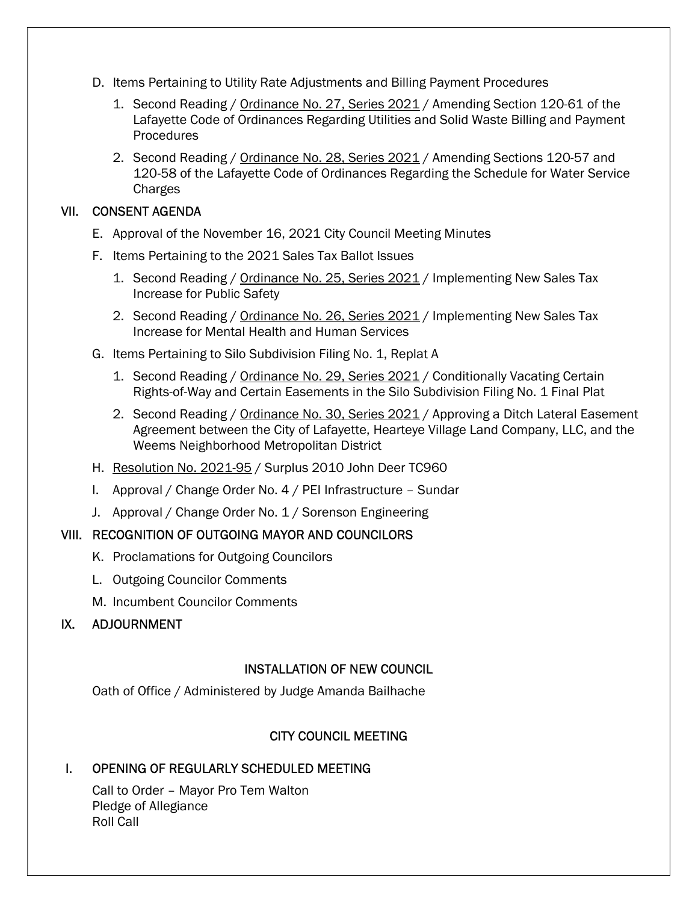- D. Items Pertaining to Utility Rate Adjustments and Billing Payment Procedures
	- 1. Second Reading / Ordinance No. 27, Series 2021 / Amending Section 120-61 of the Lafayette Code of Ordinances Regarding Utilities and Solid Waste Billing and Payment Procedures
	- 2. Second Reading / Ordinance No. 28, Series 2021 / Amending Sections 120-57 and 120-58 of the Lafayette Code of Ordinances Regarding the Schedule for Water Service Charges

#### VII. CONSENT AGENDA

- E. Approval of the November 16, 2021 City Council Meeting Minutes
- F. Items Pertaining to the 2021 Sales Tax Ballot Issues
	- 1. Second Reading / Ordinance No. 25, Series 2021 / Implementing New Sales Tax Increase for Public Safety
	- 2. Second Reading / Ordinance No. 26, Series 2021 / Implementing New Sales Tax Increase for Mental Health and Human Services
- G. Items Pertaining to Silo Subdivision Filing No. 1, Replat A
	- 1. Second Reading / Ordinance No. 29, Series 2021 / Conditionally Vacating Certain Rights-of-Way and Certain Easements in the Silo Subdivision Filing No. 1 Final Plat
	- 2. Second Reading / Ordinance No. 30, Series 2021 / Approving a Ditch Lateral Easement Agreement between the City of Lafayette, Hearteye Village Land Company, LLC, and the Weems Neighborhood Metropolitan District
- H. Resolution No. 2021-95 / Surplus 2010 John Deer TC960
- I. Approval / Change Order No. 4 / PEI Infrastructure Sundar
- J. Approval / Change Order No. 1 / Sorenson Engineering

#### VIII. RECOGNITION OF OUTGOING MAYOR AND COUNCILORS

- K. Proclamations for Outgoing Councilors
- L. Outgoing Councilor Comments
- M. Incumbent Councilor Comments

#### IX. ADJOURNMENT

#### INSTALLATION OF NEW COUNCIL

Oath of Office / Administered by Judge Amanda Bailhache

#### CITY COUNCIL MEETING

#### I. OPENING OF REGULARLY SCHEDULED MEETING

Call to Order – Mayor Pro Tem Walton Pledge of Allegiance Roll Call